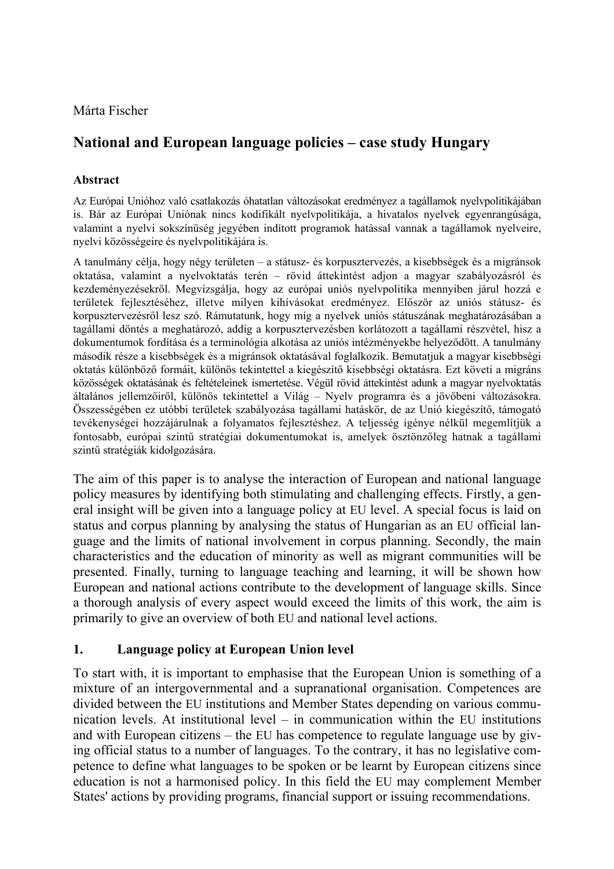Márta Fischer

# **National and European language policies – case study Hungary**

## **Abstract**

Az Európai Unióhoz való csatlakozás óhatatlan változásokat eredményez a tagállamok nyelvpolitikájában is. Bár az Európai Uniónak nincs kodifikált nyelvpolitikája, a hivatalos nyelvek egyenrangúsága, valamint a nyelvi sokszínűség jegyében indított programok hatással vannak a tagállamok nyelveire, nyelvi közösségeire és nyelvpolitikájára is.

A tanulmány célja, hogy négy területen – a státusz- és korpusztervezés, a kisebbségek és a migránsok oktatása, valamint a nyelvoktatás terén – rövid áttekintést adjon a magyar szabályozásról és kezdeményezésekről. Megvizsgálja, hogy az európai uniós nyelvpolitika mennyiben járul hozzá e területek fejlesztéséhez, illetve milyen kihívásokat eredményez. Először az uniós státusz- és korpusztervezésről lesz szó. Rámutatunk, hogy míg a nyelvek uniós státuszának meghatározásában a tagállami döntés a meghatározó, addig a korpusztervezésben korlátozott a tagállami részvétel, hisz a dokumentumok fordítása és a terminológia alkotása az uniós intézményekbe helyeződött. A tanulmány második része a kisebbségek és a migránsok oktatásával foglalkozik. Bemutatjuk a magyar kisebbségi oktatás különböző formáit, különös tekintettel a kiegészítő kisebbségi oktatásra. Ezt követi a migráns közösségek oktatásának és feltételeinek ismertetése. Végül rövid áttekintést adunk a magyar nyelvoktatás általános jellemzőiről, különös tekintettel a Világ – Nyelv programra és a jövőbeni változásokra. Összességében ez utóbbi területek szabályozása tagállami hatáskör, de az Unió kiegészítő, támogató tevékenységei hozzájárulnak a folyamatos fejlesztéshez. A teljesség igénye nélkül megemlítjük a fontosabb, európai szintű stratégiai dokumentumokat is, amelyek ösztönzőleg hatnak a tagállami szintű stratégiák kidolgozására.

The aim of this paper is to analyse the interaction of European and national language policy measures by identifying both stimulating and challenging effects. Firstly, a general insight will be given into a language policy at EU level. A special focus is laid on status and corpus planning by analysing the status of Hungarian as an EU official language and the limits of national involvement in corpus planning. Secondly, the main characteristics and the education of minority as well as migrant communities will be presented. Finally, turning to language teaching and learning, it will be shown how European and national actions contribute to the development of language skills. Since a thorough analysis of every aspect would exceed the limits of this work, the aim is primarily to give an overview of both EU and national level actions.

# **1. Language policy at European Union level**

To start with, it is important to emphasise that the European Union is something of a mixture of an intergovernmental and a supranational organisation. Competences are divided between the EU institutions and Member States depending on various communication levels. At institutional level – in communication within the EU institutions and with European citizens – the EU has competence to regulate language use by giving official status to a number of languages. To the contrary, it has no legislative competence to define what languages to be spoken or be learnt by European citizens since education is not a harmonised policy. In this field the EU may complement Member States' actions by providing programs, financial support or issuing recommendations.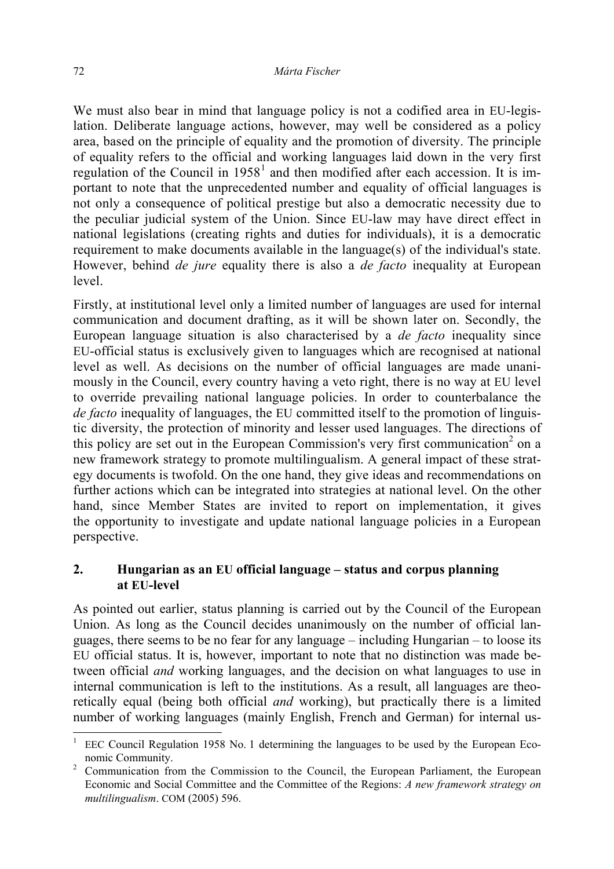We must also bear in mind that language policy is not a codified area in EU-legislation. Deliberate language actions, however, may well be considered as a policy area, based on the principle of equality and the promotion of diversity. The principle of equality refers to the official and working languages laid down in the very first regulation of the Council in  $1958<sup>1</sup>$  and then modified after each accession. It is important to note that the unprecedented number and equality of official languages is not only a consequence of political prestige but also a democratic necessity due to the peculiar judicial system of the Union. Since EU-law may have direct effect in national legislations (creating rights and duties for individuals), it is a democratic requirement to make documents available in the language(s) of the individual's state. However, behind *de jure* equality there is also a *de facto* inequality at European level.

Firstly, at institutional level only a limited number of languages are used for internal communication and document drafting, as it will be shown later on. Secondly, the European language situation is also characterised by a *de facto* inequality since EU-official status is exclusively given to languages which are recognised at national level as well. As decisions on the number of official languages are made unanimously in the Council, every country having a veto right, there is no way at EU level to override prevailing national language policies. In order to counterbalance the *de facto* inequality of languages, the EU committed itself to the promotion of linguistic diversity, the protection of minority and lesser used languages. The directions of this policy are set out in the European Commission's very first communication<sup>2</sup> on a new framework strategy to promote multilingualism. A general impact of these strategy documents is twofold. On the one hand, they give ideas and recommendations on further actions which can be integrated into strategies at national level. On the other hand, since Member States are invited to report on implementation, it gives the opportunity to investigate and update national language policies in a European perspective.

### **2. Hungarian as an EU official language – status and corpus planning at EU-level**

As pointed out earlier, status planning is carried out by the Council of the European Union. As long as the Council decides unanimously on the number of official languages, there seems to be no fear for any language – including Hungarian – to loose its EU official status. It is, however, important to note that no distinction was made between official *and* working languages, and the decision on what languages to use in internal communication is left to the institutions. As a result, all languages are theoretically equal (being both official *and* working), but practically there is a limited number of working languages (mainly English, French and German) for internal us-

<sup>1</sup> EEC Council Regulation 1958 No. 1 determining the languages to be used by the European Economic Community.

<sup>&</sup>lt;sup>2</sup> Communication from the Commission to the Council, the European Parliament, the European Economic and Social Committee and the Committee of the Regions: *A new framework strategy on multilingualism*. COM (2005) 596.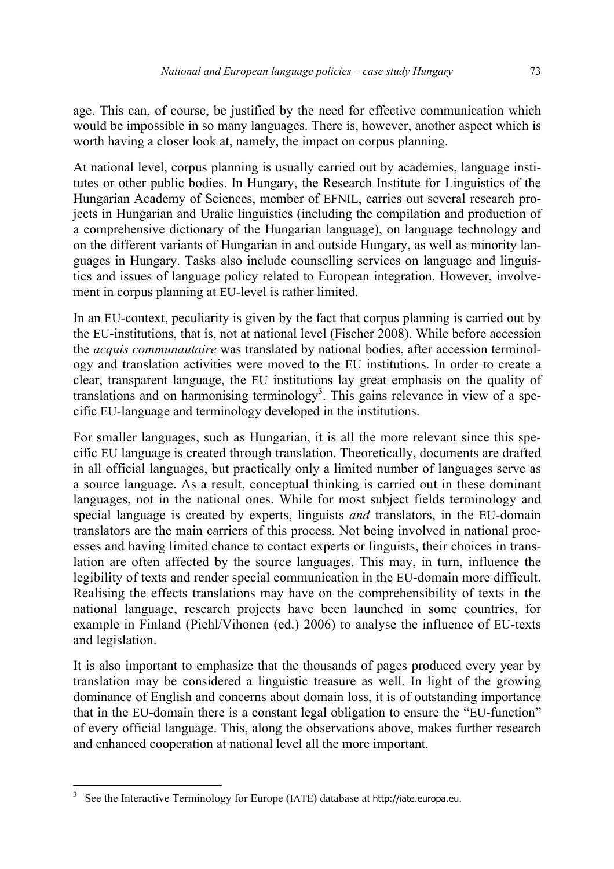age. This can, of course, be justified by the need for effective communication which would be impossible in so many languages. There is, however, another aspect which is worth having a closer look at, namely, the impact on corpus planning.

At national level, corpus planning is usually carried out by academies, language institutes or other public bodies. In Hungary, the Research Institute for Linguistics of the Hungarian Academy of Sciences, member of EFNIL, carries out several research projects in Hungarian and Uralic linguistics (including the compilation and production of a comprehensive dictionary of the Hungarian language), on language technology and on the different variants of Hungarian in and outside Hungary, as well as minority languages in Hungary. Tasks also include counselling services on language and linguistics and issues of language policy related to European integration. However, involvement in corpus planning at EU-level is rather limited.

In an EU-context, peculiarity is given by the fact that corpus planning is carried out by the EU-institutions, that is, not at national level (Fischer 2008). While before accession the *acquis communautaire* was translated by national bodies, after accession terminology and translation activities were moved to the EU institutions. In order to create a clear, transparent language, the EU institutions lay great emphasis on the quality of translations and on harmonising terminology<sup>3</sup>. This gains relevance in view of a specific EU-language and terminology developed in the institutions.

For smaller languages, such as Hungarian, it is all the more relevant since this specific EU language is created through translation. Theoretically, documents are drafted in all official languages, but practically only a limited number of languages serve as a source language. As a result, conceptual thinking is carried out in these dominant languages, not in the national ones. While for most subject fields terminology and special language is created by experts, linguists *and* translators, in the EU-domain translators are the main carriers of this process. Not being involved in national processes and having limited chance to contact experts or linguists, their choices in translation are often affected by the source languages. This may, in turn, influence the legibility of texts and render special communication in the EU-domain more difficult. Realising the effects translations may have on the comprehensibility of texts in the national language, research projects have been launched in some countries, for example in Finland (Piehl/Vihonen (ed.) 2006) to analyse the influence of EU-texts and legislation.

It is also important to emphasize that the thousands of pages produced every year by translation may be considered a linguistic treasure as well. In light of the growing dominance of English and concerns about domain loss, it is of outstanding importance that in the EU-domain there is a constant legal obligation to ensure the "EU-function" of every official language. This, along the observations above, makes further research and enhanced cooperation at national level all the more important.

 $\overline{\phantom{a}}$ 

<sup>3</sup> See the Interactive Terminology for Europe (IATE) database at http://iate.europa.eu.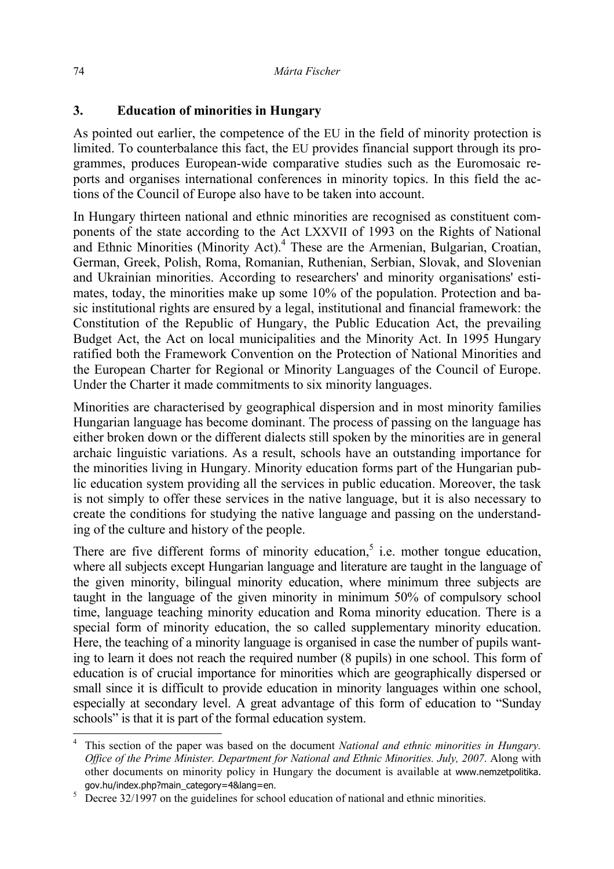# **3. Education of minorities in Hungary**

As pointed out earlier, the competence of the EU in the field of minority protection is limited. To counterbalance this fact, the EU provides financial support through its programmes, produces European-wide comparative studies such as the Euromosaic reports and organises international conferences in minority topics. In this field the actions of the Council of Europe also have to be taken into account.

In Hungary thirteen national and ethnic minorities are recognised as constituent components of the state according to the Act LXXVII of 1993 on the Rights of National and Ethnic Minorities (Minority Act).<sup>4</sup> These are the Armenian, Bulgarian, Croatian, German, Greek, Polish, Roma, Romanian, Ruthenian, Serbian, Slovak, and Slovenian and Ukrainian minorities. According to researchers' and minority organisations' estimates, today, the minorities make up some 10% of the population. Protection and basic institutional rights are ensured by a legal, institutional and financial framework: the Constitution of the Republic of Hungary, the Public Education Act, the prevailing Budget Act, the Act on local municipalities and the Minority Act. In 1995 Hungary ratified both the Framework Convention on the Protection of National Minorities and the European Charter for Regional or Minority Languages of the Council of Europe. Under the Charter it made commitments to six minority languages.

Minorities are characterised by geographical dispersion and in most minority families Hungarian language has become dominant. The process of passing on the language has either broken down or the different dialects still spoken by the minorities are in general archaic linguistic variations. As a result, schools have an outstanding importance for the minorities living in Hungary. Minority education forms part of the Hungarian public education system providing all the services in public education. Moreover, the task is not simply to offer these services in the native language, but it is also necessary to create the conditions for studying the native language and passing on the understanding of the culture and history of the people.

There are five different forms of minority education,<sup>5</sup> i.e. mother tongue education, where all subjects except Hungarian language and literature are taught in the language of the given minority, bilingual minority education, where minimum three subjects are taught in the language of the given minority in minimum 50% of compulsory school time, language teaching minority education and Roma minority education. There is a special form of minority education, the so called supplementary minority education. Here, the teaching of a minority language is organised in case the number of pupils wanting to learn it does not reach the required number (8 pupils) in one school. This form of education is of crucial importance for minorities which are geographically dispersed or small since it is difficult to provide education in minority languages within one school, especially at secondary level. A great advantage of this form of education to "Sunday schools" is that it is part of the formal education system.

<sup>4</sup> This section of the paper was based on the document *National and ethnic minorities in Hungary. Office of the Prime Minister. Department for National and Ethnic Minorities. July, 2007*. Along with other documents on minority policy in Hungary the document is available at www.nemzetpolitika. gov.hu/index.php?main\_category=4&lang=en. 5

 $\frac{5}{10}$  Decree 32/1997 on the guidelines for school education of national and ethnic minorities.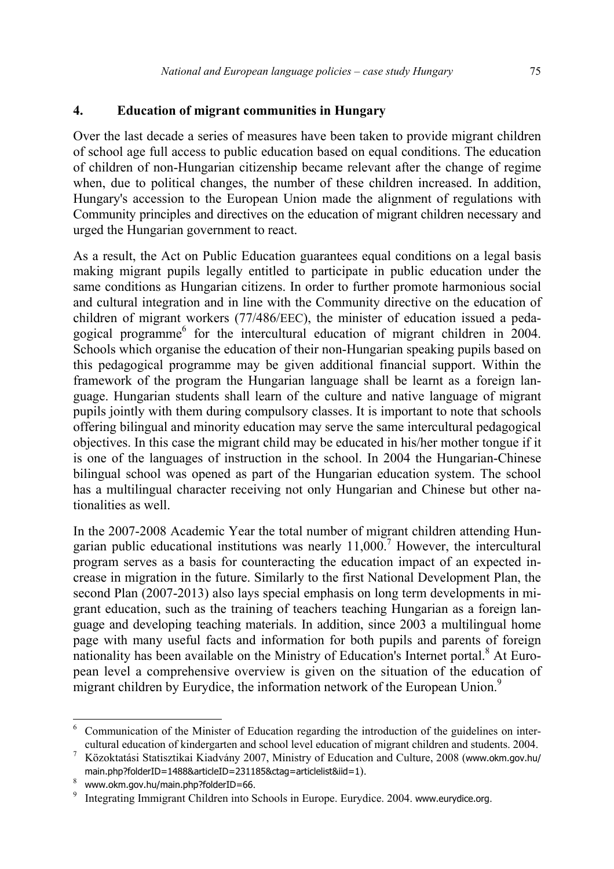### **4. Education of migrant communities in Hungary**

Over the last decade a series of measures have been taken to provide migrant children of school age full access to public education based on equal conditions. The education of children of non-Hungarian citizenship became relevant after the change of regime when, due to political changes, the number of these children increased. In addition, Hungary's accession to the European Union made the alignment of regulations with Community principles and directives on the education of migrant children necessary and urged the Hungarian government to react.

As a result, the Act on Public Education guarantees equal conditions on a legal basis making migrant pupils legally entitled to participate in public education under the same conditions as Hungarian citizens. In order to further promote harmonious social and cultural integration and in line with the Community directive on the education of children of migrant workers (77/486/EEC), the minister of education issued a pedagogical programme<sup>6</sup> for the intercultural education of migrant children in  $2004$ . Schools which organise the education of their non-Hungarian speaking pupils based on this pedagogical programme may be given additional financial support. Within the framework of the program the Hungarian language shall be learnt as a foreign language. Hungarian students shall learn of the culture and native language of migrant pupils jointly with them during compulsory classes. It is important to note that schools offering bilingual and minority education may serve the same intercultural pedagogical objectives. In this case the migrant child may be educated in his/her mother tongue if it is one of the languages of instruction in the school. In 2004 the Hungarian-Chinese bilingual school was opened as part of the Hungarian education system. The school has a multilingual character receiving not only Hungarian and Chinese but other nationalities as well.

In the 2007-2008 Academic Year the total number of migrant children attending Hungarian public educational institutions was nearly  $11,000$ .<sup>7</sup> However, the intercultural program serves as a basis for counteracting the education impact of an expected increase in migration in the future. Similarly to the first National Development Plan, the second Plan (2007-2013) also lays special emphasis on long term developments in migrant education, such as the training of teachers teaching Hungarian as a foreign language and developing teaching materials. In addition, since 2003 a multilingual home page with many useful facts and information for both pupils and parents of foreign nationality has been available on the Ministry of Education's Internet portal.<sup>8</sup> At European level a comprehensive overview is given on the situation of the education of migrant children by Eurydice, the information network of the European Union.<sup>9</sup>

 $\overline{\phantom{a}}$ 

<sup>6</sup> Communication of the Minister of Education regarding the introduction of the guidelines on intercultural education of kindergarten and school level education of migrant children and students. 2004.

<sup>7</sup> Közoktatási Statisztikai Kiadvány 2007, Ministry of Education and Culture, 2008 (www.okm.gov.hu/ main.php?folderID=1488&articleID=231185&ctag=articlelist&iid=1).

<sup>8</sup> <sup>8</sup> www.okm.gov.hu/main.php?folderID=66.<br><sup>9</sup> Integrating Immigrant Children into S

Integrating Immigrant Children into Schools in Europe. Eurydice. 2004. www.eurydice.org.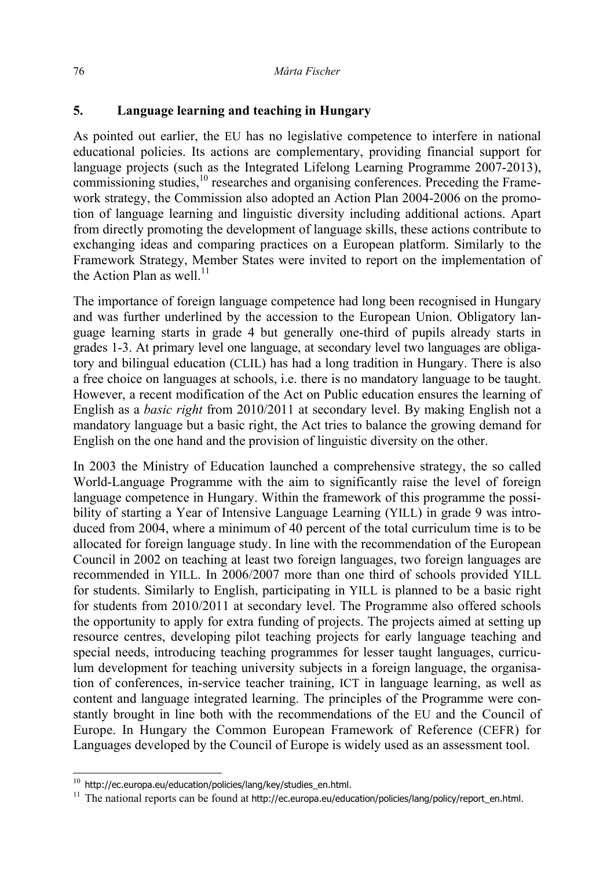# **5. Language learning and teaching in Hungary**

As pointed out earlier, the EU has no legislative competence to interfere in national educational policies. Its actions are complementary, providing financial support for language projects (such as the Integrated Lifelong Learning Programme 2007-2013), commissioning studies,<sup>10</sup> researches and organising conferences. Preceding the Framework strategy, the Commission also adopted an Action Plan 2004-2006 on the promotion of language learning and linguistic diversity including additional actions. Apart from directly promoting the development of language skills, these actions contribute to exchanging ideas and comparing practices on a European platform. Similarly to the Framework Strategy, Member States were invited to report on the implementation of the Action Plan as well.<sup>11</sup>

The importance of foreign language competence had long been recognised in Hungary and was further underlined by the accession to the European Union. Obligatory language learning starts in grade 4 but generally one-third of pupils already starts in grades 1-3. At primary level one language, at secondary level two languages are obligatory and bilingual education (CLIL) has had a long tradition in Hungary. There is also a free choice on languages at schools, i.e. there is no mandatory language to be taught. However, a recent modification of the Act on Public education ensures the learning of English as a *basic right* from 2010/2011 at secondary level. By making English not a mandatory language but a basic right, the Act tries to balance the growing demand for English on the one hand and the provision of linguistic diversity on the other.

In 2003 the Ministry of Education launched a comprehensive strategy, the so called World-Language Programme with the aim to significantly raise the level of foreign language competence in Hungary. Within the framework of this programme the possibility of starting a Year of Intensive Language Learning (YILL) in grade 9 was introduced from 2004, where a minimum of 40 percent of the total curriculum time is to be allocated for foreign language study. In line with the recommendation of the European Council in 2002 on teaching at least two foreign languages, two foreign languages are recommended in YILL. In 2006/2007 more than one third of schools provided YILL for students. Similarly to English, participating in YILL is planned to be a basic right for students from 2010/2011 at secondary level. The Programme also offered schools the opportunity to apply for extra funding of projects. The projects aimed at setting up resource centres, developing pilot teaching projects for early language teaching and special needs, introducing teaching programmes for lesser taught languages, curriculum development for teaching university subjects in a foreign language, the organisation of conferences, in-service teacher training, ICT in language learning, as well as content and language integrated learning. The principles of the Programme were constantly brought in line both with the recommendations of the EU and the Council of Europe. In Hungary the Common European Framework of Reference (CEFR) for Languages developed by the Council of Europe is widely used as an assessment tool.

 $^{10}$  http://ec.europa.eu/education/policies/lang/key/studies\_en.html.

<sup>&</sup>lt;sup>11</sup> The national reports can be found at http://ec.europa.eu/education/policies/lang/policy/report\_en.html.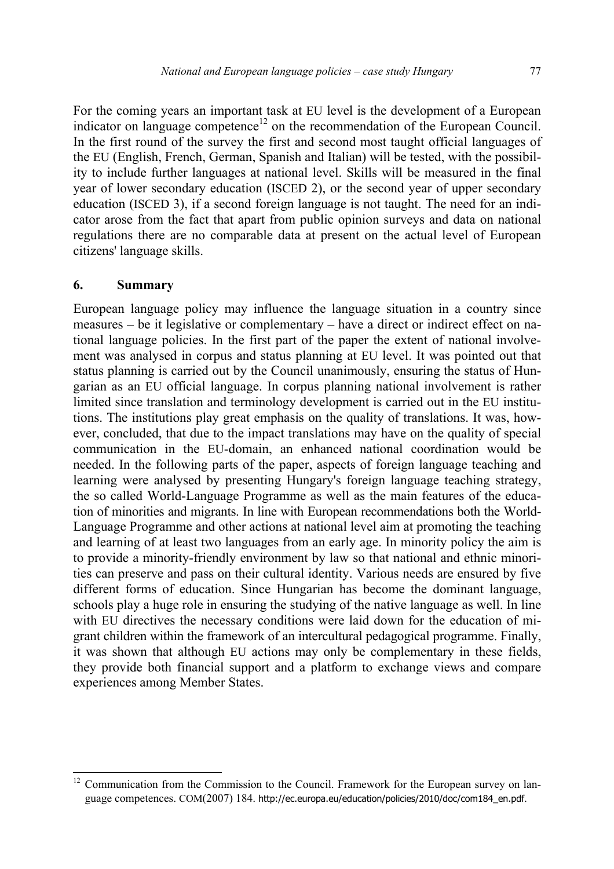For the coming years an important task at EU level is the development of a European indicator on language competence<sup>12</sup> on the recommendation of the European Council. In the first round of the survey the first and second most taught official languages of the EU (English, French, German, Spanish and Italian) will be tested, with the possibility to include further languages at national level. Skills will be measured in the final year of lower secondary education (ISCED 2), or the second year of upper secondary education (ISCED 3), if a second foreign language is not taught. The need for an indicator arose from the fact that apart from public opinion surveys and data on national regulations there are no comparable data at present on the actual level of European citizens' language skills.

#### **6. Summary**

 $\overline{\phantom{a}}$ 

European language policy may influence the language situation in a country since measures – be it legislative or complementary – have a direct or indirect effect on national language policies. In the first part of the paper the extent of national involvement was analysed in corpus and status planning at EU level. It was pointed out that status planning is carried out by the Council unanimously, ensuring the status of Hungarian as an EU official language. In corpus planning national involvement is rather limited since translation and terminology development is carried out in the EU institutions. The institutions play great emphasis on the quality of translations. It was, however, concluded, that due to the impact translations may have on the quality of special communication in the EU-domain, an enhanced national coordination would be needed. In the following parts of the paper, aspects of foreign language teaching and learning were analysed by presenting Hungary's foreign language teaching strategy, the so called World-Language Programme as well as the main features of the education of minorities and migrants. In line with European recommendations both the World-Language Programme and other actions at national level aim at promoting the teaching and learning of at least two languages from an early age. In minority policy the aim is to provide a minority-friendly environment by law so that national and ethnic minorities can preserve and pass on their cultural identity. Various needs are ensured by five different forms of education. Since Hungarian has become the dominant language, schools play a huge role in ensuring the studying of the native language as well. In line with EU directives the necessary conditions were laid down for the education of migrant children within the framework of an intercultural pedagogical programme. Finally, it was shown that although EU actions may only be complementary in these fields, they provide both financial support and a platform to exchange views and compare experiences among Member States.

<sup>12</sup> Communication from the Commission to the Council. Framework for the European survey on language competences. COM(2007) 184. http://ec.europa.eu/education/policies/2010/doc/com184\_en.pdf.